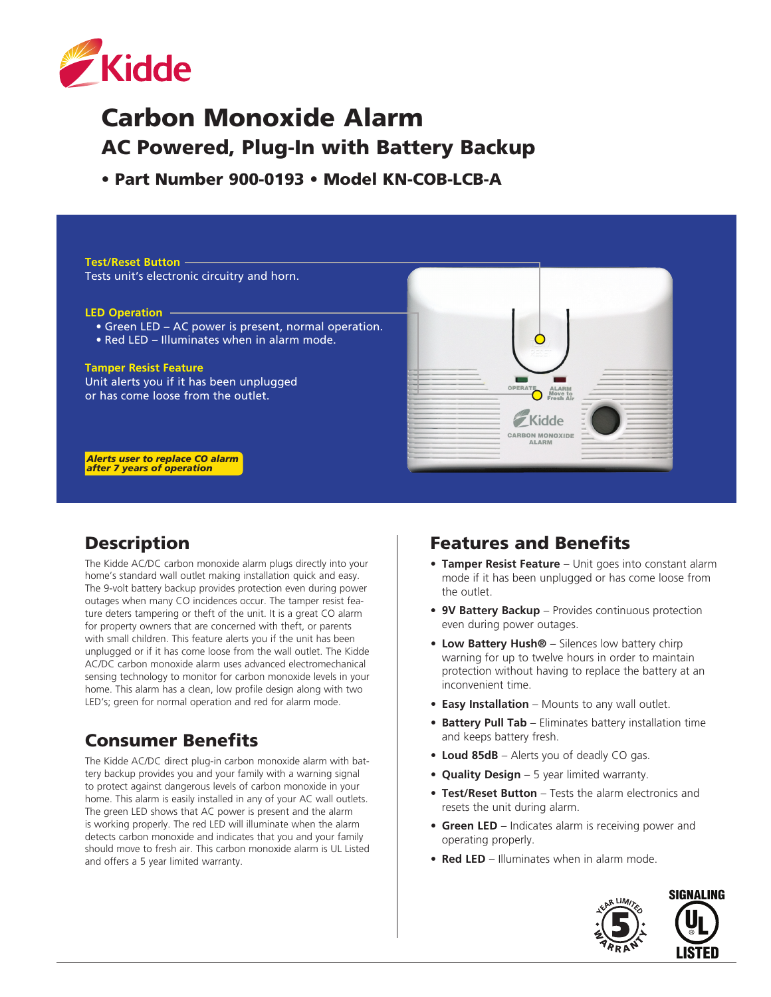

# Carbon Monoxide Alarm AC Powered, Plug-In with Battery Backup

• Part Number 900-0193 • Model KN-COB-LCB-A

**Test/Reset Button** Tests unit's electronic circuitry and horn.

#### **LED Operation**

NEW FEATURE:

NEW FEATURE:

- Green LED AC power is present, normal operation.
- Red LED Illuminates when in alarm mode.

#### **Tamper Resist Feature**

Unit alerts you if it has been unplugged or has come loose from the outlet.



*Alerts user to replace CO alarm after 7 years of operation*

### **Description**

The Kidde AC/DC carbon monoxide alarm plugs directly into your home's standard wall outlet making installation quick and easy. The 9-volt battery backup provides protection even during power outages when many CO incidences occur. The tamper resist feature deters tampering or theft of the unit. It is a great CO alarm for property owners that are concerned with theft, or parents with small children. This feature alerts you if the unit has been unplugged or if it has come loose from the wall outlet. The Kidde AC/DC carbon monoxide alarm uses advanced electromechanical sensing technology to monitor for carbon monoxide levels in your home. This alarm has a clean, low profile design along with two LED's; green for normal operation and red for alarm mode.

# Consumer Benefits

The Kidde AC/DC direct plug-in carbon monoxide alarm with battery backup provides you and your family with a warning signal to protect against dangerous levels of carbon monoxide in your home. This alarm is easily installed in any of your AC wall outlets. The green LED shows that AC power is present and the alarm is working properly. The red LED will illuminate when the alarm detects carbon monoxide and indicates that you and your family should move to fresh air. This carbon monoxide alarm is UL Listed and offers a 5 year limited warranty.

#### Features and Benefits

- **• Tamper Resist Feature** Unit goes into constant alarm mode if it has been unplugged or has come loose from the outlet.
- **• 9V Battery Backup** Provides continuous protection even during power outages.
- **• Low Battery Hush®** Silences low battery chirp warning for up to twelve hours in order to maintain protection without having to replace the battery at an inconvenient time.
- **• Easy Installation** Mounts to any wall outlet.
- **• Battery Pull Tab** Eliminates battery installation time and keeps battery fresh.
- **• Loud 85dB** Alerts you of deadly CO gas.
- **• Quality Design** 5 year limited warranty.
- **• Test/Reset Button** Tests the alarm electronics and resets the unit during alarm.
- **Green LED** Indicates alarm is receiving power and operating properly.
- **• Red LED** Illuminates when in alarm mode.